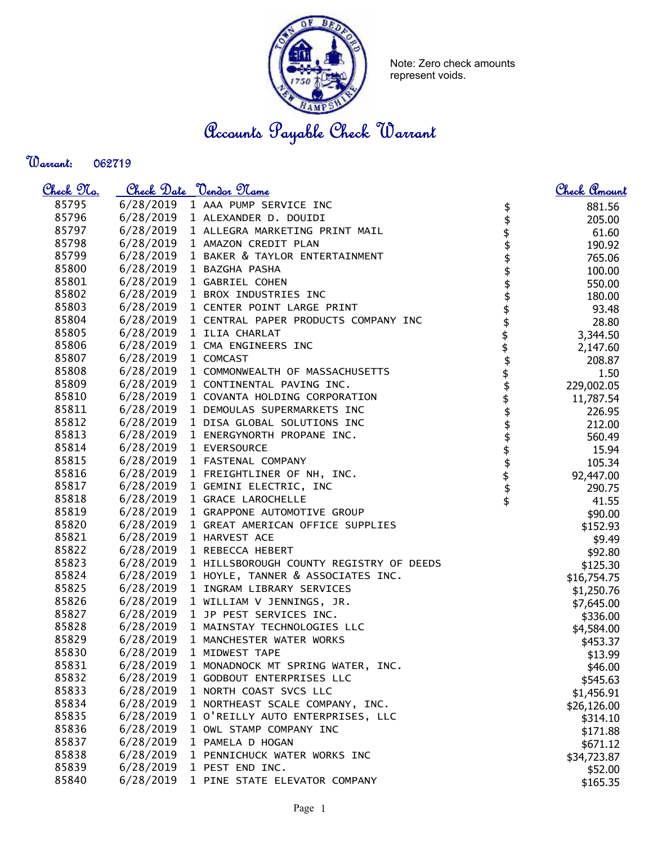

Note: Zero check amounts represent voids.

Accounts Payable Check Warrant

Warrant: 

| <u>Check 97a.</u> |           | <u>Check Date "Vendor Name</u>          |          | <u>Check Amount</u> |
|-------------------|-----------|-----------------------------------------|----------|---------------------|
| 85795             |           | 6/28/2019 1 AAA PUMP SERVICE INC        |          | 881.56              |
| 85796             |           | 6/28/2019 1 ALEXANDER D. DOUIDI         |          | 205.00              |
| 85797             | 6/28/2019 | 1 ALLEGRA MARKETING PRINT MAIL          |          | 61.60               |
| 85798             | 6/28/2019 | 1 AMAZON CREDIT PLAN                    |          | 190.92              |
| 85799             | 6/28/2019 | 1 BAKER & TAYLOR ENTERTAINMENT          |          | 765.06              |
| 85800             | 6/28/2019 | 1 BAZGHA PASHA                          |          | 100.00              |
| 85801             | 6/28/2019 | 1 GABRIEL COHEN                         |          | 550.00              |
| 85802             |           | 6/28/2019 1 BROX INDUSTRIES INC         |          | 180.00              |
| 85803             | 6/28/2019 | 1 CENTER POINT LARGE PRINT              |          | 93.48               |
| 85804             | 6/28/2019 | 1 CENTRAL PAPER PRODUCTS COMPANY INC    |          | 28.80               |
| 85805             | 6/28/2019 | 1 ILIA CHARLAT                          |          | 3,344.50            |
| 85806             | 6/28/2019 | 1 CMA ENGINEERS INC                     |          | 2,147.60            |
| 85807             | 6/28/2019 | 1 COMCAST                               |          | 208.87              |
| 85808             | 6/28/2019 | 1 COMMONWEALTH OF MASSACHUSETTS         |          | 1.50                |
| 85809             | 6/28/2019 | 1 CONTINENTAL PAVING INC.               | \$\$\$\$ | 229,002.05          |
| 85810             | 6/28/2019 | 1 COVANTA HOLDING CORPORATION           | \$       | 11,787.54           |
| 85811             | 6/28/2019 | 1 DEMOULAS SUPERMARKETS INC             |          | 226.95              |
| 85812             | 6/28/2019 | 1 DISA GLOBAL SOLUTIONS INC             |          | 212.00              |
| 85813             | 6/28/2019 | 1 ENERGYNORTH PROPANE INC.              |          | 560.49              |
| 85814             | 6/28/2019 | 1 EVERSOURCE                            |          | 15.94               |
| 85815             | 6/28/2019 | 1 FASTENAL COMPANY                      |          | 105.34              |
| 85816             |           | 6/28/2019 1 FREIGHTLINER OF NH, INC.    |          | 92,447.00           |
| 85817             | 6/28/2019 | 1 GEMINI ELECTRIC, INC                  | \$\$\$   | 290.75              |
| 85818             | 6/28/2019 | 1 GRACE LAROCHELLE                      | \$       | 41.55               |
| 85819             | 6/28/2019 | 1 GRAPPONE AUTOMOTIVE GROUP             |          | \$90.00             |
| 85820             | 6/28/2019 | 1 GREAT AMERICAN OFFICE SUPPLIES        |          | \$152.93            |
| 85821             | 6/28/2019 | 1 HARVEST ACE                           |          | \$9.49              |
| 85822             | 6/28/2019 | 1 REBECCA HEBERT                        |          | \$92.80             |
| 85823             | 6/28/2019 | 1 HILLSBOROUGH COUNTY REGISTRY OF DEEDS |          | \$125.30            |
| 85824             | 6/28/2019 | 1 HOYLE, TANNER & ASSOCIATES INC.       |          | \$16,754.75         |
| 85825             | 6/28/2019 | 1 INGRAM LIBRARY SERVICES               |          | \$1,250.76          |
| 85826             | 6/28/2019 | 1 WILLIAM V JENNINGS, JR.               |          | \$7,645.00          |
| 85827             | 6/28/2019 | 1 JP PEST SERVICES INC.                 |          | \$336.00            |
| 85828             | 6/28/2019 | 1 MAINSTAY TECHNOLOGIES LLC             |          | \$4,584.00          |
| 85829             | 6/28/2019 | 1 MANCHESTER WATER WORKS                |          | \$453.37            |
| 85830             | 6/28/2019 | 1 MIDWEST TAPE                          |          | \$13.99             |
| 85831             | 6/28/2019 | 1 MONADNOCK MT SPRING WATER, INC.       |          | \$46.00             |
| 85832             | 6/28/2019 | 1 GODBOUT ENTERPRISES LLC               |          | \$545.63            |
| 85833             | 6/28/2019 | 1 NORTH COAST SVCS LLC                  |          | \$1,456.91          |
| 85834             | 6/28/2019 | 1 NORTHEAST SCALE COMPANY, INC.         |          | \$26,126.00         |
| 85835             | 6/28/2019 | 1 O'REILLY AUTO ENTERPRISES, LLC        |          | \$314.10            |
| 85836             | 6/28/2019 | 1 OWL STAMP COMPANY INC                 |          | \$171.88            |
| 85837             | 6/28/2019 | 1 PAMELA D HOGAN                        |          | \$671.12            |
| 85838             | 6/28/2019 | 1 PENNICHUCK WATER WORKS INC            |          | \$34,723.87         |
| 85839             | 6/28/2019 | 1 PEST END INC.                         |          | \$52.00             |
| 85840             | 6/28/2019 | 1 PINE STATE ELEVATOR COMPANY           |          | \$165.35            |